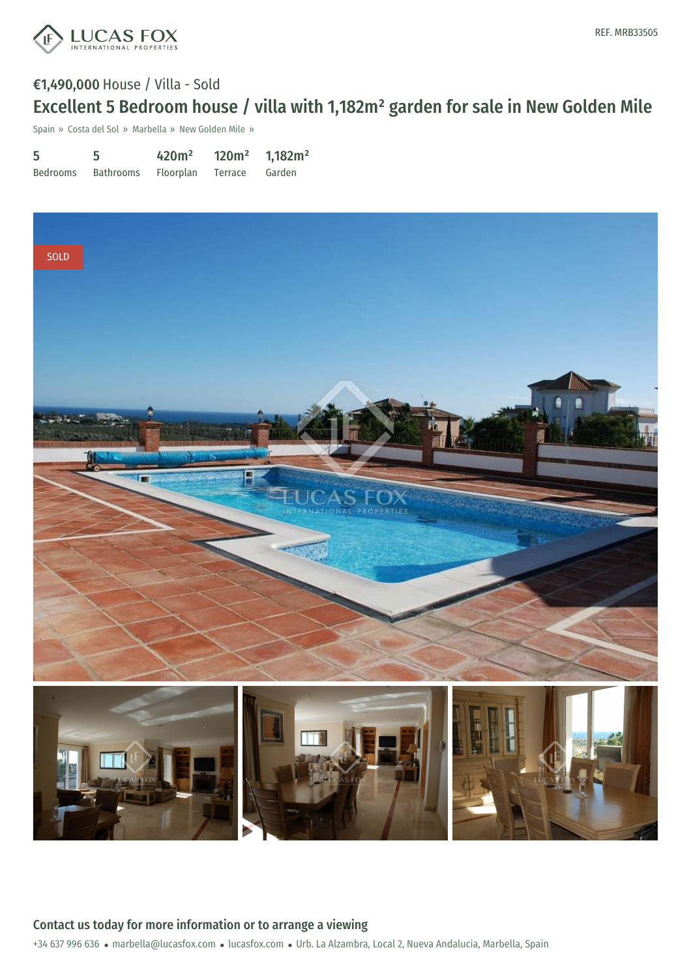

## €1,490,000 House / Villa - Sold Excellent 5 Bedroom house / villa with 1,182m² garden for sale in New Golden Mile

Spain » Costa del Sol » Marbella » New Golden Mile »

| 5        | 5         | 420m <sup>2</sup> | $120m^2$ 1,182m <sup>2</sup> |        |
|----------|-----------|-------------------|------------------------------|--------|
| Bedrooms | Bathrooms | Floorplan         | Terrace                      | Garden |



+34 637 996 636 · marbella@lucasfox.com · lucasfox.com · Urb. La Alzambra, Local 2, Nueva Andalucia, Marbella, Spain Contact us today for more information or to arrange a viewing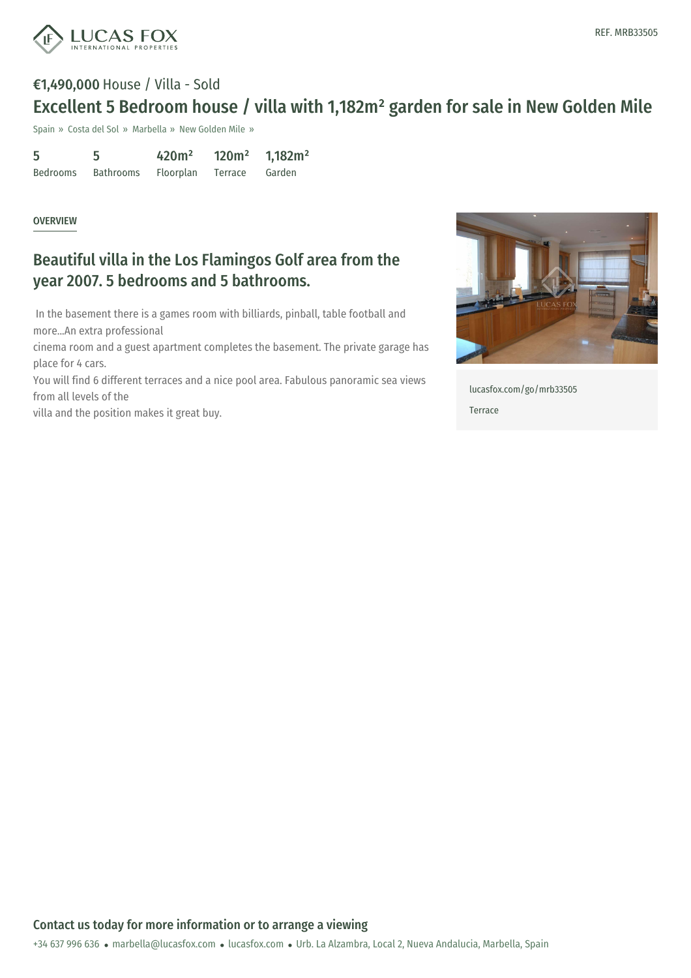

# €1,490,000 House / Villa - Sold Excellent 5 Bedroom house / villa with 1,182m² garden for sale in New Golden Mile

Spain » Costa del Sol » Marbella » New Golden Mile »

| 5               |           | 420m <sup>2</sup> | 120m <sup>2</sup> | 1,182m <sup>2</sup> |
|-----------------|-----------|-------------------|-------------------|---------------------|
| <b>Bedrooms</b> | Bathrooms | Floorplan         | Terrace           | Garden              |

#### **OVERVIEW**

## Beautiful villa in the Los Flamingos Golf area from the year 2007. 5 bedrooms and 5 bathrooms.

In the basement there is a games room with billiards, pinball, table football and more...An extra professional

cinema room and a guest apartment completes the basement. The private garage has place for 4 cars.

You will find 6 different terraces and a nice pool area. Fabulous panoramic sea views from all levels of the

villa and the position makes it great buy.



[lucasfox.com/go/mrb33505](https://www.lucasfox.com/go/mrb33505) Terrace